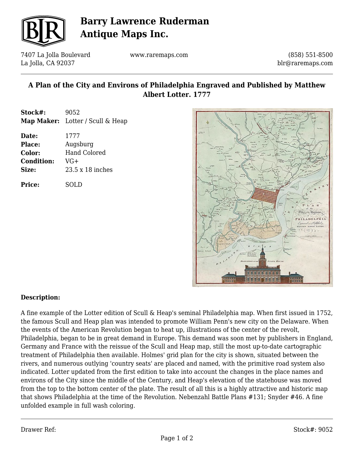

# **Barry Lawrence Ruderman Antique Maps Inc.**

7407 La Jolla Boulevard La Jolla, CA 92037

www.raremaps.com

(858) 551-8500 blr@raremaps.com

### **A Plan of the City and Environs of Philadelphia Engraved and Published by Matthew Albert Lotter. 1777**

| Stock#: | 9052                                    |
|---------|-----------------------------------------|
|         | <b>Map Maker:</b> Lotter / Scull & Heap |

| Date:             | 1777                    |
|-------------------|-------------------------|
| <b>Place:</b>     | Augsburg                |
| Color:            | <b>Hand Colored</b>     |
| <b>Condition:</b> | VG+                     |
| Size:             | $23.5 \times 18$ inches |
|                   |                         |

**Price:** SOLD



#### **Description:**

A fine example of the Lotter edition of Scull & Heap's seminal Philadelphia map. When first issued in 1752, the famous Scull and Heap plan was intended to promote William Penn's new city on the Delaware. When the events of the American Revolution began to heat up, illustrations of the center of the revolt, Philadelphia, began to be in great demand in Europe. This demand was soon met by publishers in England, Germany and France with the reissue of the Scull and Heap map, still the most up-to-date cartographic treatment of Philadelphia then available. Holmes' grid plan for the city is shown, situated between the rivers, and numerous outlying 'country seats' are placed and named, with the primitive road system also indicated. Lotter updated from the first edition to take into account the changes in the place names and environs of the City since the middle of the Century, and Heap's elevation of the statehouse was moved from the top to the bottom center of the plate. The result of all this is a highly attractive and historic map that shows Philadelphia at the time of the Revolution. Nebenzahl Battle Plans #131; Snyder #46. A fine unfolded example in full wash coloring.